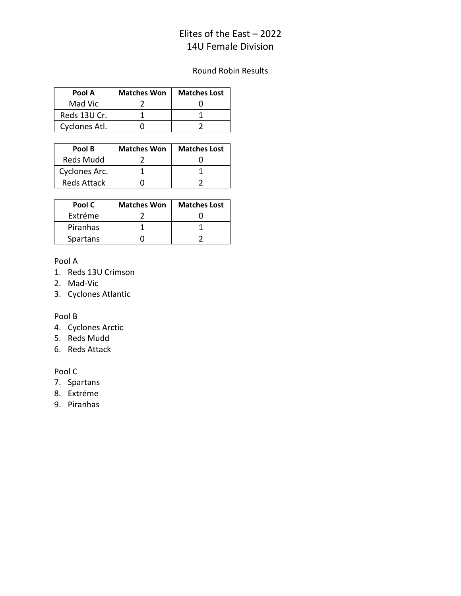# Elites of the East – 2022 14U Female Division

## Round Robin Results

| Pool A        | <b>Matches Won</b> | <b>Matches Lost</b> |
|---------------|--------------------|---------------------|
| Mad Vic       |                    |                     |
| Reds 13U Cr.  |                    |                     |
| Cyclones Atl. |                    |                     |

| Pool B             | <b>Matches Won</b> | <b>Matches Lost</b> |
|--------------------|--------------------|---------------------|
| <b>Reds Mudd</b>   |                    |                     |
| Cyclones Arc.      |                    |                     |
| <b>Reds Attack</b> |                    |                     |

| Pool C   | <b>Matches Won</b> | <b>Matches Lost</b> |
|----------|--------------------|---------------------|
| Extréme  |                    |                     |
| Piranhas |                    |                     |
| Spartans |                    |                     |

### Pool A

- 1. Reds 13U Crimson
- 2. Mad-Vic
- 3. Cyclones Atlantic

### Pool B

- 4. Cyclones Arctic
- 5. Reds Mudd
- 6. Reds Attack

#### Pool C

- 7. Spartans
- 8. Extréme
- 9. Piranhas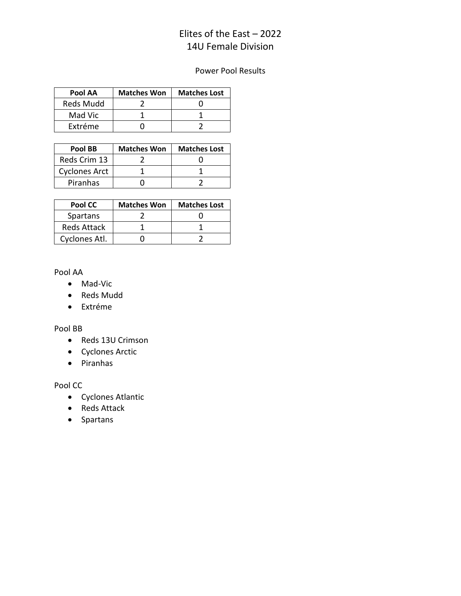# Elites of the East – 2022 14U Female Division

## Power Pool Results

| Pool AA          | <b>Matches Won</b> | <b>Matches Lost</b> |
|------------------|--------------------|---------------------|
| <b>Reds Mudd</b> |                    |                     |
| Mad Vic          |                    |                     |
| Extréme          |                    |                     |

| Pool BB              | <b>Matches Won</b> | <b>Matches Lost</b> |
|----------------------|--------------------|---------------------|
| Reds Crim 13         |                    |                     |
| <b>Cyclones Arct</b> |                    |                     |
| Piranhas             |                    |                     |

| Pool CC            | <b>Matches Won</b> | <b>Matches Lost</b> |
|--------------------|--------------------|---------------------|
| Spartans           |                    |                     |
| <b>Reds Attack</b> |                    |                     |
| Cyclones Atl.      |                    |                     |

Pool AA

- Mad-Vic
- Reds Mudd
- Extréme

#### Pool BB

- Reds 13U Crimson
- Cyclones Arctic
- Piranhas

Pool CC

- Cyclones Atlantic
- Reds Attack
- Spartans